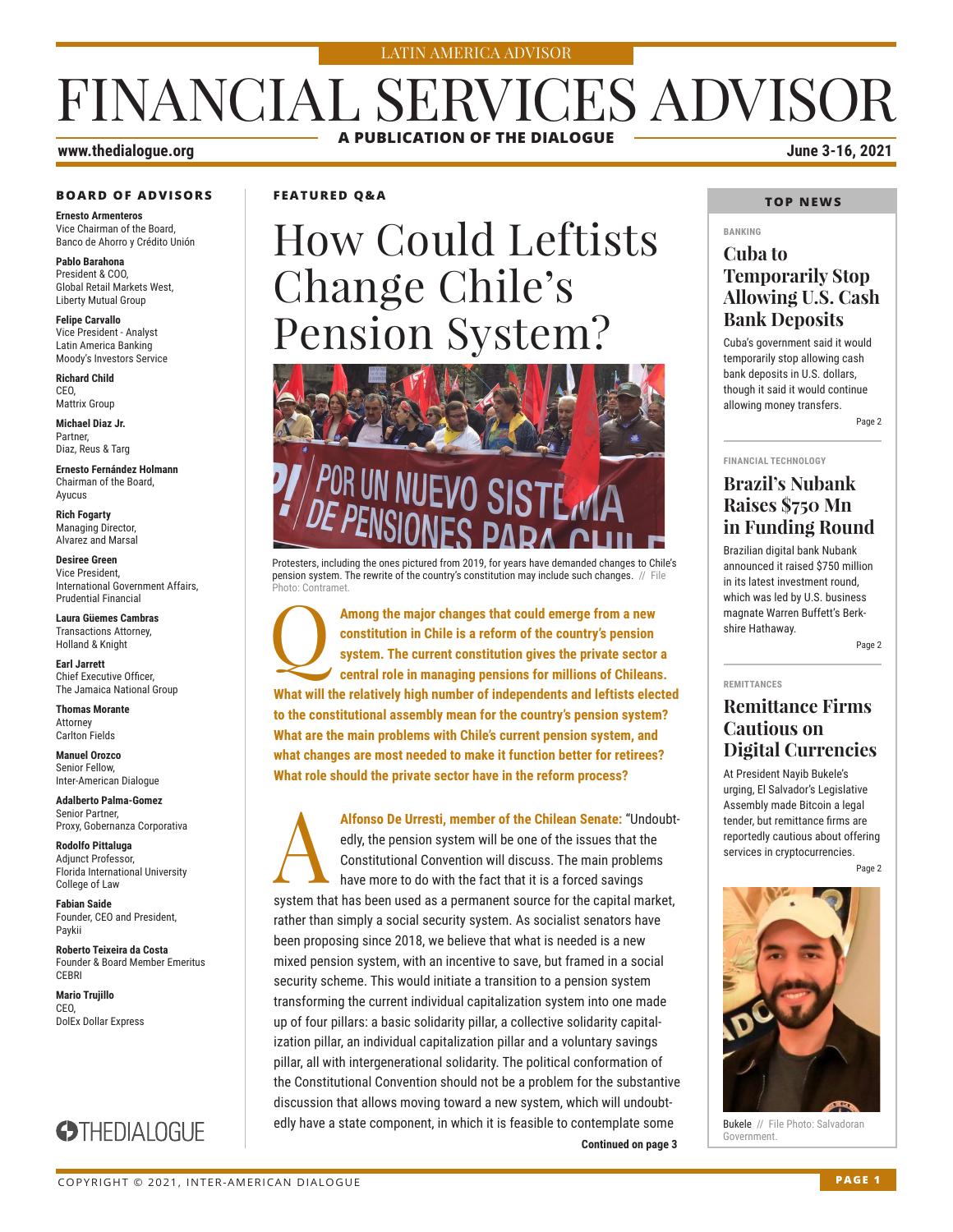#### LATIN AMERICA ADVISOR

# FINANCIAL SERVICES ADVISOR **A PUBLICATION OF THE DIALOGUE**

#### **www.thedialogue.org June 3-16, 2021**

#### **BOARD OF ADVISORS**

**Ernesto Armenteros** Vice Chairman of the Board, Banco de Ahorro y Crédito Unión

**Pablo Barahona** President & COO, Global Retail Markets West, Liberty Mutual Group

**Felipe Carvallo** Vice President - Analyst Latin America Banking Moody's Investors Service

**Richard Child** CEO, Mattrix Group

**Michael Diaz Jr.** Partner, Diaz, Reus & Targ

**Ernesto Fernández Holmann** Chairman of the Board, Ayucus

**Rich Fogarty** Managing Director, Alvarez and Marsal

**Desiree Green** Vice President, International Government Affairs, Prudential Financial

**Laura Güemes Cambras** Transactions Attorney, Holland & Knight

**Earl Jarrett** Chief Executive Officer, The Jamaica National Group

**Thomas Morante** Attorney Carlton Fields

**Manuel Orozco** Senior Fellow, Inter-American Dialogue

**Adalberto Palma-Gomez** Senior Partner, Proxy, Gobernanza Corporativa

**Rodolfo Pittaluga** Adjunct Professor, Florida International University College of Law

**Fabian Saide**  Founder, CEO and President, Paykii

**Roberto Teixeira da Costa** Founder & Board Member Emeritus **CERRI** 

**Mario Trujillo** CEO, DolEx Dollar Express



#### **FEATURED Q&A**

# How Could Leftists Change Chile's Pension System?



Protesters, including the ones pictured from 2019, for years have demanded changes to Chile's pension system. The rewrite of the country's constitution may include such changes. // File Photo: Contramet.

Among the major changes that could emerge from a new constitution in Chile is a reform of the country's pension system. The current constitution gives the private sector central role in managing pensions for millions of Ch **constitution in Chile is a reform of the country's pension system. The current constitution gives the private sector a central role in managing pensions for millions of Chileans. What will the relatively high number of independents and leftists elected to the constitutional assembly mean for the country's pension system? What are the main problems with Chile's current pension system, and what changes are most needed to make it function better for retirees? What role should the private sector have in the reform process?**

**Continued on page 3** Alfonso De Urresti, member of the Chilean Senate: "Undoubt-<br>edly, the pension system will be one of the issues that the<br>Constitutional Convention will discuss. The main problems<br>have more to do with the fact that it is a f edly, the pension system will be one of the issues that the Constitutional Convention will discuss. The main problems have more to do with the fact that it is a forced savings system that has been used as a permanent source for the capital market, rather than simply a social security system. As socialist senators have been proposing since 2018, we believe that what is needed is a new mixed pension system, with an incentive to save, but framed in a social security scheme. This would initiate a transition to a pension system transforming the current individual capitalization system into one made up of four pillars: a basic solidarity pillar, a collective solidarity capitalization pillar, an individual capitalization pillar and a voluntary savings pillar, all with intergenerational solidarity. The political conformation of the Constitutional Convention should not be a problem for the substantive discussion that allows moving toward a new system, which will undoubtedly have a state component, in which it is feasible to contemplate some

#### **TOP NEWS**

#### **BANKING**

#### **Cuba to Temporarily Stop Allowing U.S. Cash Bank Deposits**

Cuba's government said it would temporarily stop allowing cash bank deposits in U.S. dollars, though it said it would continue allowing money transfers. Page 2

#### **FINANCIAL TECHNOLOGY**

### **Brazil's Nubank Raises \$750 Mn in Funding Round**

Brazilian digital bank Nubank announced it raised \$750 million in its latest investment round, which was led by U.S. business magnate Warren Buffett's Berkshire Hathaway.

Page 2

#### **REMITTANCES**

#### **Remittance Firms Cautious on Digital Currencies**

At President Nayib Bukele's urging, El Salvador's Legislative Assembly made Bitcoin a legal tender, but remittance firms are reportedly cautious about offering services in cryptocurrencies.

Page 2



**Bukele** // File Photo: Salvadoran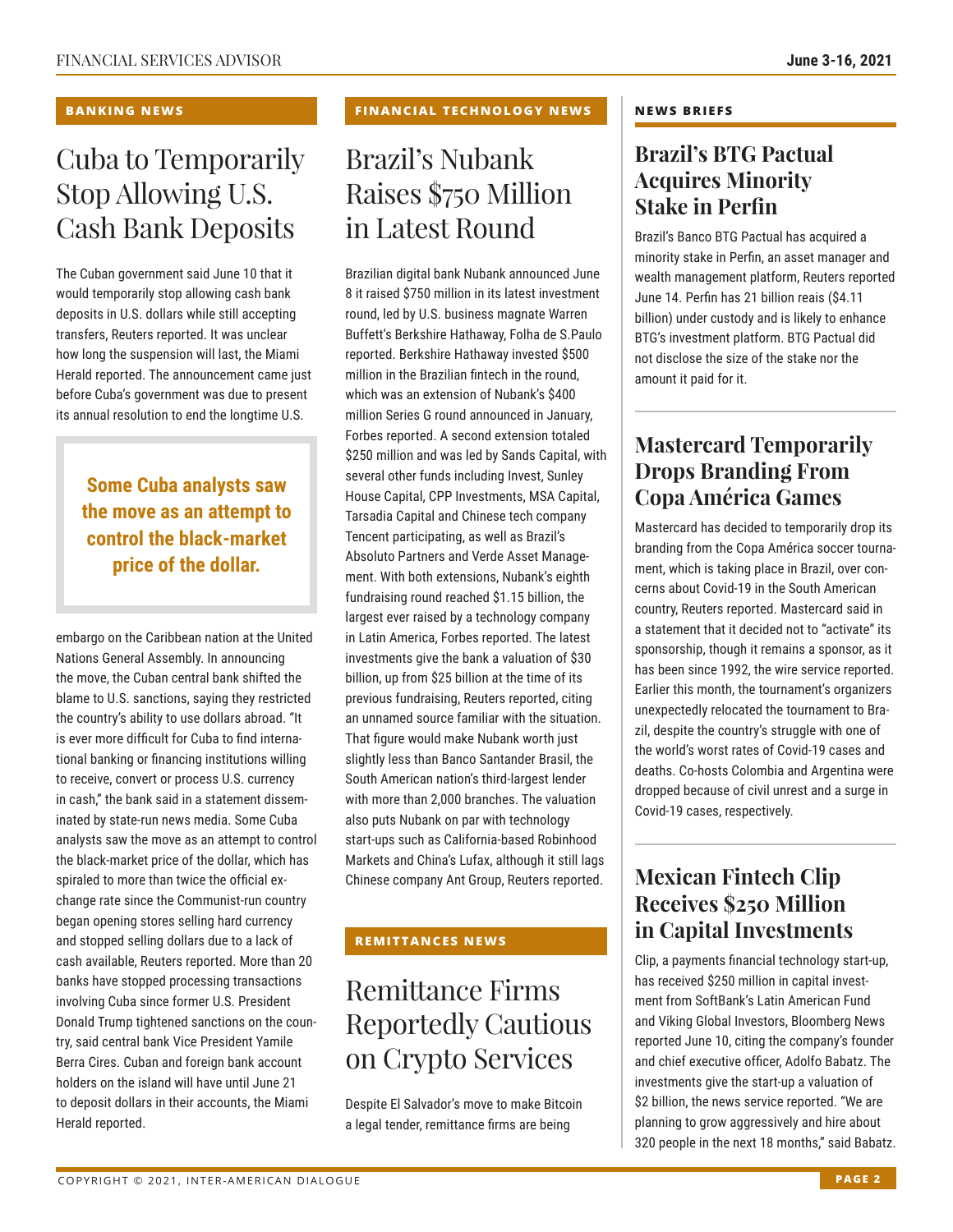#### **BANKING NEWS**

# Cuba to Temporarily Stop Allowing U.S. Cash Bank Deposits

The Cuban government said June 10 that it would temporarily stop allowing cash bank deposits in U.S. dollars while still accepting transfers, Reuters reported. It was unclear how long the suspension will last, the Miami Herald reported. The announcement came just before Cuba's government was due to present its annual resolution to end the longtime U.S.

**Some Cuba analysts saw the move as an attempt to control the black-market price of the dollar.**

embargo on the Caribbean nation at the United Nations General Assembly. In announcing the move, the Cuban central bank shifted the blame to U.S. sanctions, saying they restricted the country's ability to use dollars abroad. "It is ever more difficult for Cuba to find international banking or financing institutions willing to receive, convert or process U.S. currency in cash," the bank said in a statement disseminated by state-run news media. Some Cuba analysts saw the move as an attempt to control the black-market price of the dollar, which has spiraled to more than twice the official exchange rate since the Communist-run country began opening stores selling hard currency and stopped selling dollars due to a lack of cash available, Reuters reported. More than 20 banks have stopped processing transactions involving Cuba since former U.S. President Donald Trump tightened sanctions on the country, said central bank Vice President Yamile Berra Cires. Cuban and foreign bank account holders on the island will have until June 21 to deposit dollars in their accounts, the Miami Herald reported.

#### **FINANCIAL TECHNOLOGY NEWS**

# Brazil's Nubank Raises \$750 Million in Latest Round

Brazilian digital bank Nubank announced June 8 it raised \$750 million in its latest investment round, led by U.S. business magnate Warren Buffett's Berkshire Hathaway, Folha de S.Paulo reported. Berkshire Hathaway invested \$500 million in the Brazilian fintech in the round, which was an extension of Nubank's \$400 million Series G round announced in January, Forbes reported. A second extension totaled \$250 million and was led by Sands Capital, with several other funds including Invest, Sunley House Capital, CPP Investments, MSA Capital, Tarsadia Capital and Chinese tech company Tencent participating, as well as Brazil's Absoluto Partners and Verde Asset Management. With both extensions, Nubank's eighth fundraising round reached \$1.15 billion, the largest ever raised by a technology company in Latin America, Forbes reported. The latest investments give the bank a valuation of \$30 billion, up from \$25 billion at the time of its previous fundraising, Reuters reported, citing an unnamed source familiar with the situation. That figure would make Nubank worth just slightly less than Banco Santander Brasil, the South American nation's third-largest lender with more than 2,000 branches. The valuation also puts Nubank on par with technology start-ups such as California-based Robinhood Markets and China's Lufax, although it still lags Chinese company Ant Group, Reuters reported.

#### **REMITTANCES NEWS**

# Remittance Firms Reportedly Cautious on Crypto Services

Despite El Salvador's move to make Bitcoin a legal tender, remittance firms are being

#### **NEWS BRIEFS**

### **Brazil's BTG Pactual Acquires Minority Stake in Perfin**

Brazil's Banco BTG Pactual has acquired a minority stake in Perfin, an asset manager and wealth management platform, Reuters reported June 14. Perfin has 21 billion reais (\$4.11 billion) under custody and is likely to enhance BTG's investment platform. BTG Pactual did not disclose the size of the stake nor the amount it paid for it.

### **Mastercard Temporarily Drops Branding From Copa América Games**

Mastercard has decided to temporarily drop its branding from the Copa América soccer tournament, which is taking place in Brazil, over concerns about Covid-19 in the South American country, Reuters reported. Mastercard said in a statement that it decided not to "activate" its sponsorship, though it remains a sponsor, as it has been since 1992, the wire service reported. Earlier this month, the tournament's organizers unexpectedly relocated the tournament to Brazil, despite the country's struggle with one of the world's worst rates of Covid-19 cases and deaths. Co-hosts Colombia and Argentina were dropped because of civil unrest and a surge in Covid-19 cases, respectively.

### **Mexican Fintech Clip Receives \$250 Million in Capital Investments**

Clip, a payments financial technology start-up, has received \$250 million in capital investment from SoftBank's Latin American Fund and Viking Global Investors, Bloomberg News reported June 10, citing the company's founder and chief executive officer, Adolfo Babatz. The investments give the start-up a valuation of \$2 billion, the news service reported. "We are planning to grow aggressively and hire about 320 people in the next 18 months," said Babatz.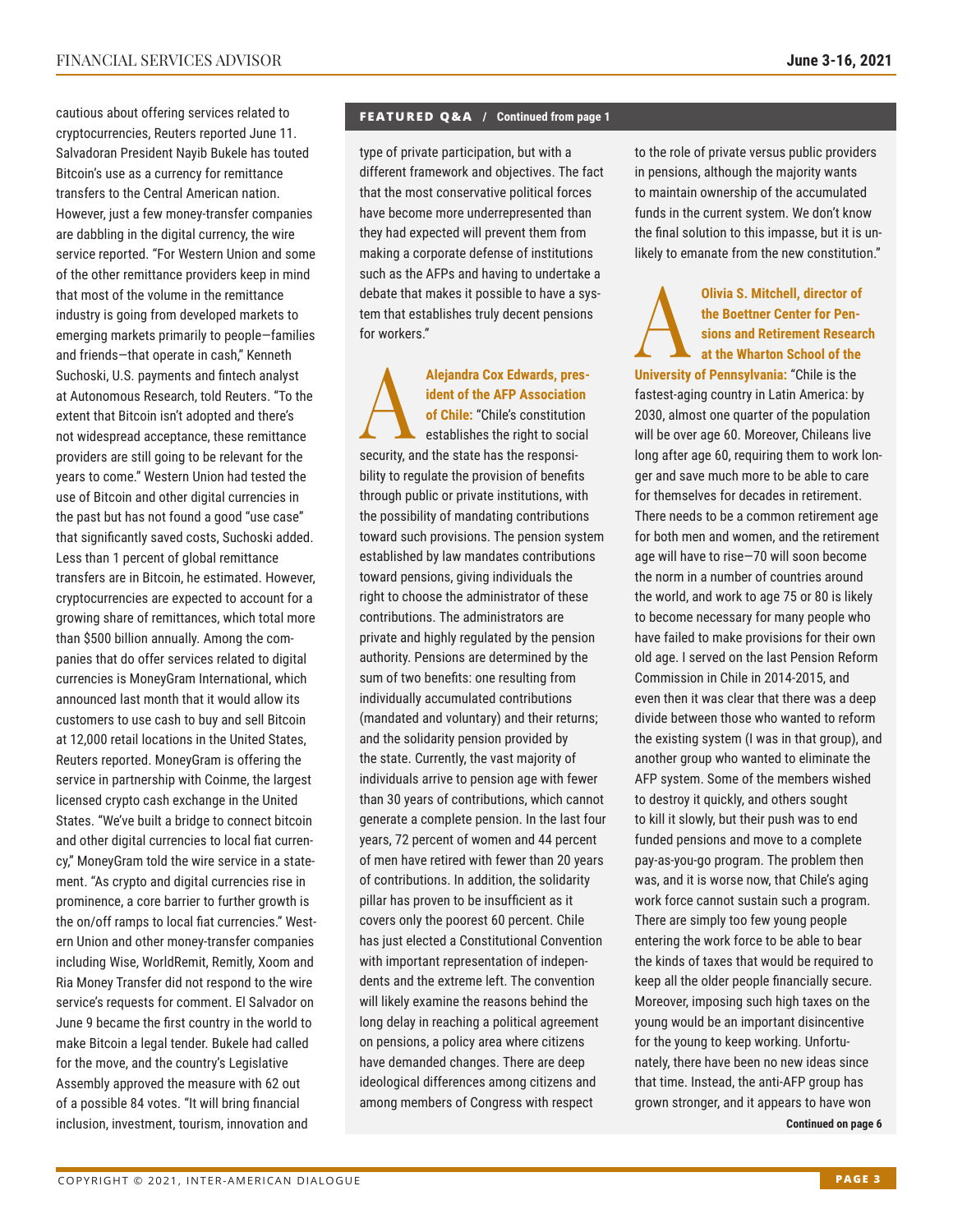cautious about offering services related to cryptocurrencies, Reuters reported June 11. Salvadoran President Nayib Bukele has touted Bitcoin's use as a currency for remittance transfers to the Central American nation. However, just a few money-transfer companies are dabbling in the digital currency, the wire service reported. "For Western Union and some of the other remittance providers keep in mind that most of the volume in the remittance industry is going from developed markets to emerging markets primarily to people—families and friends—that operate in cash," Kenneth Suchoski, U.S. payments and fintech analyst at Autonomous Research, told Reuters. "To the extent that Bitcoin isn't adopted and there's not widespread acceptance, these remittance providers are still going to be relevant for the years to come." Western Union had tested the use of Bitcoin and other digital currencies in the past but has not found a good "use case" that significantly saved costs, Suchoski added. Less than 1 percent of global remittance transfers are in Bitcoin, he estimated. However, cryptocurrencies are expected to account for a growing share of remittances, which total more than \$500 billion annually. Among the companies that do offer services related to digital currencies is MoneyGram International, which announced last month that it would allow its customers to use cash to buy and sell Bitcoin at 12,000 retail locations in the United States, Reuters reported. MoneyGram is offering the service in partnership with Coinme, the largest licensed crypto cash exchange in the United States. "We've built a bridge to connect bitcoin and other digital currencies to local fiat currency," MoneyGram told the wire service in a statement. "As crypto and digital currencies rise in prominence, a core barrier to further growth is the on/off ramps to local fiat currencies." Western Union and other money-transfer companies including Wise, WorldRemit, Remitly, Xoom and Ria Money Transfer did not respond to the wire service's requests for comment. El Salvador on June 9 became the first country in the world to make Bitcoin a legal tender. Bukele had called for the move, and the country's Legislative Assembly approved the measure with 62 out of a possible 84 votes. "It will bring financial inclusion, investment, tourism, innovation and

#### **FEATURED Q&A / Continued from page 1**

type of private participation, but with a different framework and objectives. The fact that the most conservative political forces have become more underrepresented than they had expected will prevent them from making a corporate defense of institutions such as the AFPs and having to undertake a debate that makes it possible to have a system that establishes truly decent pensions for workers."

Alejandra Cox Edwards, president of the AFP Association<br>of Chile: "Chile's constitution<br>establishes the right to social **ident of the AFP Association of Chile:** "Chile's constitution establishes the right to social security, and the state has the responsibility to regulate the provision of benefits through public or private institutions, with the possibility of mandating contributions toward such provisions. The pension system established by law mandates contributions toward pensions, giving individuals the right to choose the administrator of these contributions. The administrators are private and highly regulated by the pension authority. Pensions are determined by the sum of two benefits: one resulting from individually accumulated contributions (mandated and voluntary) and their returns; and the solidarity pension provided by the state. Currently, the vast majority of individuals arrive to pension age with fewer than 30 years of contributions, which cannot generate a complete pension. In the last four years, 72 percent of women and 44 percent of men have retired with fewer than 20 years of contributions. In addition, the solidarity pillar has proven to be insufficient as it covers only the poorest 60 percent. Chile has just elected a Constitutional Convention with important representation of independents and the extreme left. The convention will likely examine the reasons behind the long delay in reaching a political agreement on pensions, a policy area where citizens have demanded changes. There are deep ideological differences among citizens and among members of Congress with respect

to the role of private versus public providers in pensions, although the majority wants to maintain ownership of the accumulated funds in the current system. We don't know the final solution to this impasse, but it is unlikely to emanate from the new constitution."

Olivia S. Mitchell, director of<br>the Boettner Center for Pensions and Retirement Research<br>at the Wharton School of the<br>University of Penneylyenia: "Chile is the **the Boettner Center for Pensions and Retirement Research at the Wharton School of the** 

**University of Pennsylvania:** "Chile is the fastest-aging country in Latin America: by 2030, almost one quarter of the population will be over age 60. Moreover, Chileans live long after age 60, requiring them to work longer and save much more to be able to care for themselves for decades in retirement. There needs to be a common retirement age for both men and women, and the retirement age will have to rise—70 will soon become the norm in a number of countries around the world, and work to age 75 or 80 is likely to become necessary for many people who have failed to make provisions for their own old age. I served on the last Pension Reform Commission in Chile in 2014-2015, and even then it was clear that there was a deep divide between those who wanted to reform the existing system (I was in that group), and another group who wanted to eliminate the AFP system. Some of the members wished to destroy it quickly, and others sought to kill it slowly, but their push was to end funded pensions and move to a complete pay-as-you-go program. The problem then was, and it is worse now, that Chile's aging work force cannot sustain such a program. There are simply too few young people entering the work force to be able to bear the kinds of taxes that would be required to keep all the older people financially secure. Moreover, imposing such high taxes on the young would be an important disincentive for the young to keep working. Unfortunately, there have been no new ideas since that time. Instead, the anti-AFP group has grown stronger, and it appears to have won

**Continued on page 6**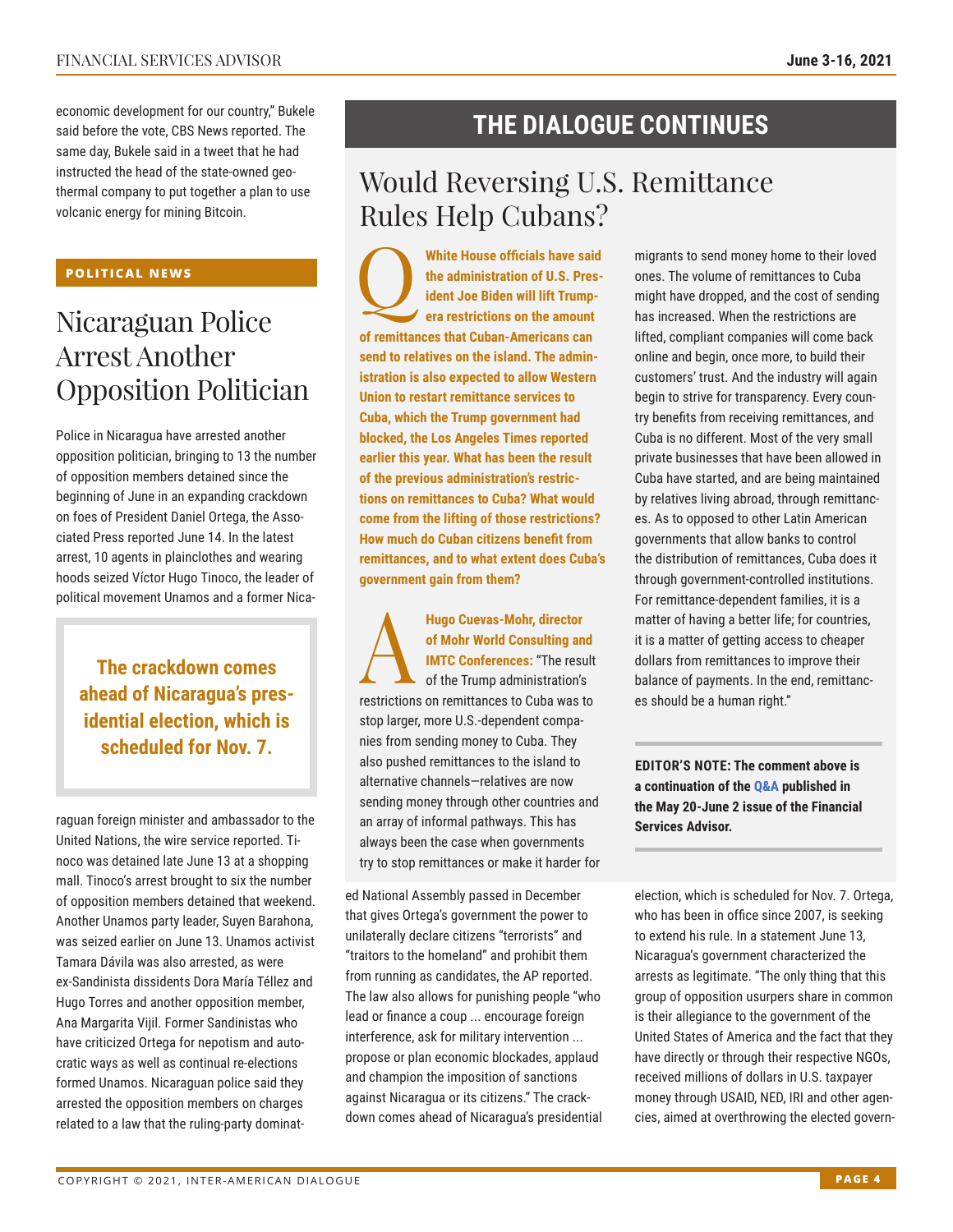economic development for our country," Bukele said before the vote, CBS News reported. The same day, Bukele said in a tweet that he had instructed the head of the state-owned geothermal company to put together a plan to use volcanic energy for mining Bitcoin.

#### **POLITICAL NEWS**

# Nicaraguan Police Arrest Another Opposition Politician

Police in Nicaragua have arrested another opposition politician, bringing to 13 the number of opposition members detained since the beginning of June in an expanding crackdown on foes of President Daniel Ortega, the Associated Press reported June 14. In the latest arrest, 10 agents in plainclothes and wearing hoods seized Víctor Hugo Tinoco, the leader of political movement Unamos and a former Nica-

**The crackdown comes ahead of Nicaragua's presidential election, which is scheduled for Nov. 7.**

raguan foreign minister and ambassador to the United Nations, the wire service reported. Tinoco was detained late June 13 at a shopping mall. Tinoco's arrest brought to six the number of opposition members detained that weekend. Another Unamos party leader, Suyen Barahona, was seized earlier on June 13. Unamos activist Tamara Dávila was also arrested, as were ex-Sandinista dissidents Dora María Téllez and Hugo Torres and another opposition member, Ana Margarita Vijil. Former Sandinistas who have criticized Ortega for nepotism and autocratic ways as well as continual re-elections formed Unamos. Nicaraguan police said they arrested the opposition members on charges related to a law that the ruling-party dominat-

### **THE DIALOGUE CONTINUES**

# Would Reversing U.S. Remittance Rules Help Cubans?

White House officials have said<br>the administration of U.S. Pres-<br>ident Joe Biden will lift Trump-<br>era restrictions on the amount **the administration of U.S. President Joe Biden will lift Trumpera restrictions on the amount of remittances that Cuban-Americans can send to relatives on the island. The administration is also expected to allow Western Union to restart remittance services to Cuba, which the Trump government had blocked, the Los Angeles Times reported earlier this year. What has been the result of the previous administration's restrictions on remittances to Cuba? What would come from the lifting of those restrictions? How much do Cuban citizens benefit from remittances, and to what extent does Cuba's government gain from them?**

**Hugo Cuevas-Mohr, director**<br>of Mohr World Consulting an<br>IMTC Conferences: "The result<br>of the Trump administration's<br>restrictions on remitteness to Cube west **of Mohr World Consulting and IMTC Conferences:** "The result of the Trump administration's restrictions on remittances to Cuba was to stop larger, more U.S.-dependent companies from sending money to Cuba. They also pushed remittances to the island to alternative channels—relatives are now sending money through other countries and an array of informal pathways. This has always been the case when governments try to stop remittances or make it harder for

ed National Assembly passed in December that gives Ortega's government the power to unilaterally declare citizens "terrorists" and "traitors to the homeland" and prohibit them from running as candidates, the AP reported. The law also allows for punishing people "who lead or finance a coup ... encourage foreign interference, ask for military intervention ... propose or plan economic blockades, applaud and champion the imposition of sanctions against Nicaragua or its citizens." The crackdown comes ahead of Nicaragua's presidential migrants to send money home to their loved ones. The volume of remittances to Cuba might have dropped, and the cost of sending has increased. When the restrictions are lifted, compliant companies will come back online and begin, once more, to build their customers' trust. And the industry will again begin to strive for transparency. Every country benefits from receiving remittances, and Cuba is no different. Most of the very small private businesses that have been allowed in Cuba have started, and are being maintained by relatives living abroad, through remittances. As to opposed to other Latin American governments that allow banks to control the distribution of remittances, Cuba does it through government-controlled institutions. For remittance-dependent families, it is a matter of having a better life; for countries, it is a matter of getting access to cheaper dollars from remittances to improve their balance of payments. In the end, remittances should be a human right."

**EDITOR'S NOTE: The comment above is a continuation of t[he Q&A publis](http://www.thedialogue.org/wp-content/uploads/2021/06/FSA210602.pdf)hed in the May 20-June 2 issue of the Financial Services Advisor.**

election, which is scheduled for Nov. 7. Ortega, who has been in office since 2007, is seeking to extend his rule. In a statement June 13, Nicaragua's government characterized the arrests as legitimate. "The only thing that this group of opposition usurpers share in common is their allegiance to the government of the United States of America and the fact that they have directly or through their respective NGOs, received millions of dollars in U.S. taxpayer money through USAID, NED, IRI and other agencies, aimed at overthrowing the elected govern-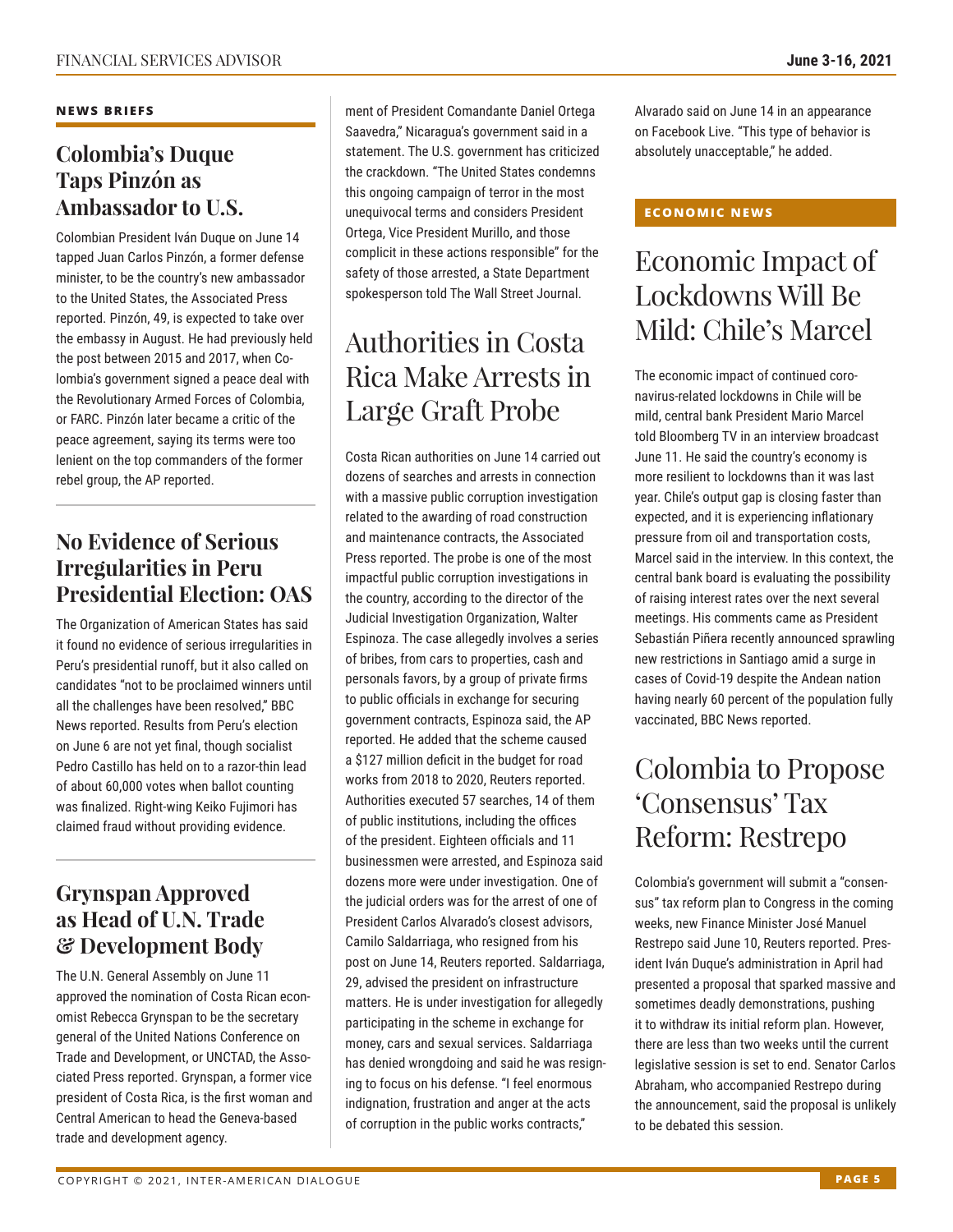#### **NEWS BRIEFS**

### **Colombia's Duque Taps Pinzón as Ambassador to U.S.**

Colombian President Iván Duque on June 14 tapped Juan Carlos Pinzón, a former defense minister, to be the country's new ambassador to the United States, the Associated Press reported. Pinzón, 49, is expected to take over the embassy in August. He had previously held the post between 2015 and 2017, when Colombia's government signed a peace deal with the Revolutionary Armed Forces of Colombia, or FARC. Pinzón later became a critic of the peace agreement, saying its terms were too lenient on the top commanders of the former rebel group, the AP reported.

### **No Evidence of Serious Irregularities in Peru Presidential Election: OAS**

The Organization of American States has said it found no evidence of serious irregularities in Peru's presidential runoff, but it also called on candidates "not to be proclaimed winners until all the challenges have been resolved," BBC News reported. Results from Peru's election on June 6 are not yet final, though socialist Pedro Castillo has held on to a razor-thin lead of about 60,000 votes when ballot counting was finalized. Right-wing Keiko Fujimori has claimed fraud without providing evidence.

### **Grynspan Approved as Head of U.N. Trade & Development Body**

The U.N. General Assembly on June 11 approved the nomination of Costa Rican economist Rebecca Grynspan to be the secretary general of the United Nations Conference on Trade and Development, or UNCTAD, the Associated Press reported. Grynspan, a former vice president of Costa Rica, is the first woman and Central American to head the Geneva-based trade and development agency.

ment of President Comandante Daniel Ortega Saavedra," Nicaragua's government said in a statement. The U.S. government has criticized the crackdown. "The United States condemns this ongoing campaign of terror in the most unequivocal terms and considers President Ortega, Vice President Murillo, and those complicit in these actions responsible" for the safety of those arrested, a State Department spokesperson told The Wall Street Journal.

# Authorities in Costa Rica Make Arrests in Large Graft Probe

Costa Rican authorities on June 14 carried out dozens of searches and arrests in connection with a massive public corruption investigation related to the awarding of road construction and maintenance contracts, the Associated Press reported. The probe is one of the most impactful public corruption investigations in the country, according to the director of the Judicial Investigation Organization, Walter Espinoza. The case allegedly involves a series of bribes, from cars to properties, cash and personals favors, by a group of private firms to public officials in exchange for securing government contracts, Espinoza said, the AP reported. He added that the scheme caused a \$127 million deficit in the budget for road works from 2018 to 2020, Reuters reported. Authorities executed 57 searches, 14 of them of public institutions, including the offices of the president. Eighteen officials and 11 businessmen were arrested, and Espinoza said dozens more were under investigation. One of the judicial orders was for the arrest of one of President Carlos Alvarado's closest advisors, Camilo Saldarriaga, who resigned from his post on June 14, Reuters reported. Saldarriaga, 29, advised the president on infrastructure matters. He is under investigation for allegedly participating in the scheme in exchange for money, cars and sexual services. Saldarriaga has denied wrongdoing and said he was resigning to focus on his defense. "I feel enormous indignation, frustration and anger at the acts of corruption in the public works contracts,"

Alvarado said on June 14 in an appearance on Facebook Live. "This type of behavior is absolutely unacceptable," he added.

#### **ECONOMIC NEWS**

# Economic Impact of Lockdowns Will Be Mild: Chile's Marcel

The economic impact of continued coronavirus-related lockdowns in Chile will be mild, central bank President Mario Marcel told Bloomberg TV in an interview broadcast June 11. He said the country's economy is more resilient to lockdowns than it was last year. Chile's output gap is closing faster than expected, and it is experiencing inflationary pressure from oil and transportation costs, Marcel said in the interview. In this context, the central bank board is evaluating the possibility of raising interest rates over the next several meetings. His comments came as President Sebastián Piñera recently announced sprawling new restrictions in Santiago amid a surge in cases of Covid-19 despite the Andean nation having nearly 60 percent of the population fully vaccinated, BBC News reported.

# Colombia to Propose 'Consensus' Tax Reform: Restrepo

Colombia's government will submit a "consensus" tax reform plan to Congress in the coming weeks, new Finance Minister José Manuel Restrepo said June 10, Reuters reported. President Iván Duque's administration in April had presented a proposal that sparked massive and sometimes deadly demonstrations, pushing it to withdraw its initial reform plan. However, there are less than two weeks until the current legislative session is set to end. Senator Carlos Abraham, who accompanied Restrepo during the announcement, said the proposal is unlikely to be debated this session.